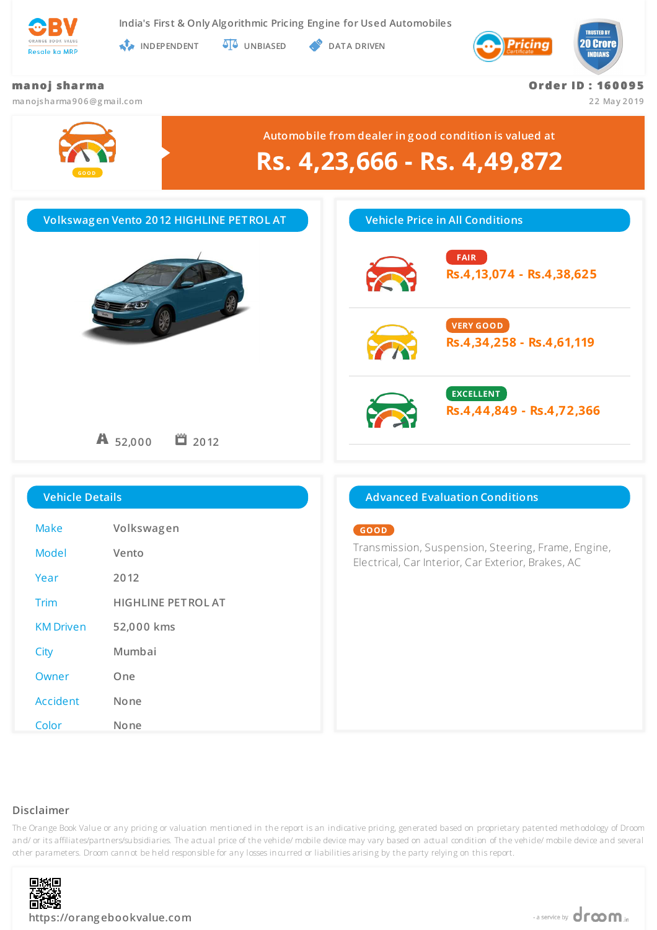

**India's First & Only Algorithmic Pricing Engine for Used Automobiles**

**INDEPENDENT UNBIASED DATA DRIVEN** 



## **ma no j sha r ma**

**manojsharma906@g mail.com**

**Or de r ID : 16 0 0 9 5**

**22 May 2019**



# **Disclaimer**

The Orange Book Value or any pricing or valuation mentioned in the report is an indicative pricing, generated based on proprietary patented methodology of Droom and/ or its affiliates/partners/subsidiaries. The actual price of the vehicle/ mobile device may vary based on actual condition of the vehicle/ mobile device and several other parameters. Droom cannot be held responsible for any losses incurred or liabilities arising by the party relying on this report.



Owner **One**

Accident **None**

Color **None**

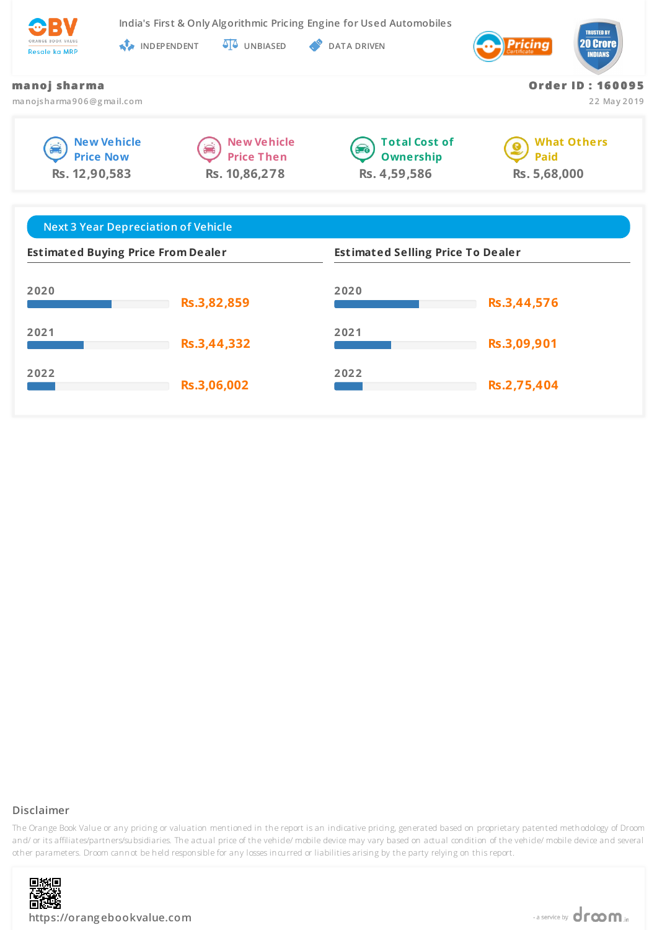

**India's First & Only Algorithmic Pricing Engine for Used Automobiles**

**INDEPENDENT UNBIASED DATA DRIVEN** 



**Or de r ID : 16 0 0 9 5**

**22 May 2019**

### **ma no j sha r ma**

**manojsharma906@g mail.com**







**What Others Paid Rs. 5,68,000**

| <b>Next 3 Year Depreciation of Vehicle</b> |             |                                          |             |
|--------------------------------------------|-------------|------------------------------------------|-------------|
| <b>Estimated Buying Price From Dealer</b>  |             | <b>Estimated Selling Price To Dealer</b> |             |
| 2020                                       | Rs.3,82,859 | 2020                                     | Rs.3,44,576 |
| 2021                                       | Rs.3,44,332 | 2021                                     | Rs.3,09,901 |
| 2022                                       | Rs.3,06,002 | 2022                                     | Rs.2,75,404 |

# **Disclaimer**

The Orange Book Value or any pricing or valuation mentioned in the report is an indicative pricing, generated based on proprietary patented methodology of Droom and/ or its affiliates/partners/subsidiaries. The actual price of the vehicle/ mobile device may vary based on actual condition of the vehicle/ mobile device and several other parameters. Droom cannot be held responsible for any losses incurred or liabilities arising by the party relying on this report.

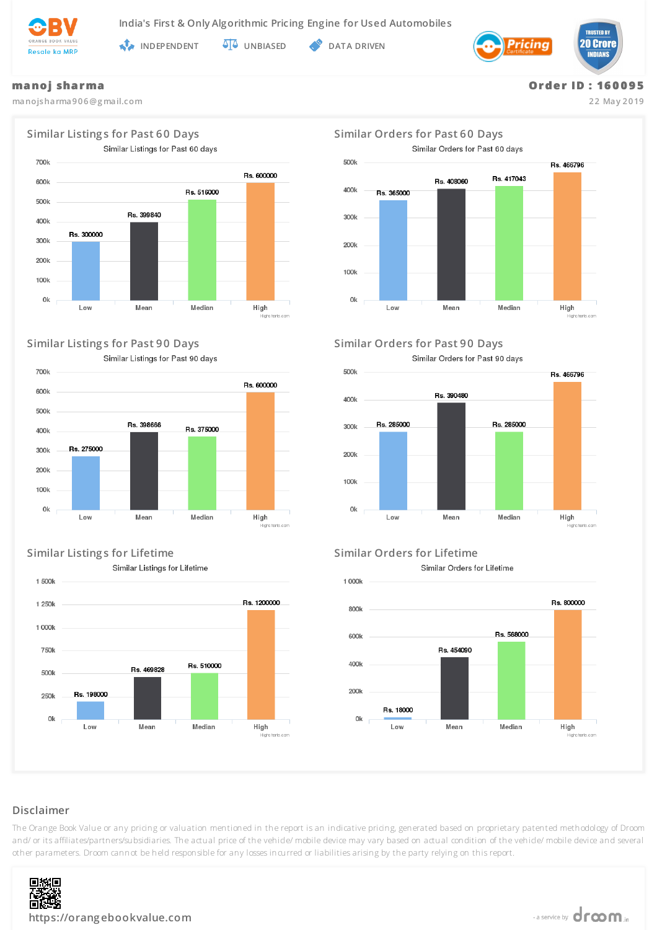

**INDEPENDENT UNBIASED DATA DRIVEN** 



### **ma no j sha r ma**

**manojsharma906@g mail.com**



## **Similar Listing s for Past 90 Days Similar Orders for Past 90 Days**

Similar Listings for Past 90 days



# **Similar Listing s for Lifetime Similar Orders for Lifetime**

Similar Listings for Lifetime







Similar Orders for Past 90 days



Similar Orders for Lifetime



# **Disclaimer**

The Orange Book Value or any pricing or valuation mentioned in the report is an indicative pricing, generated based on proprietary patented methodology of Droom and/ or its affiliates/partners/subsidiaries. The actual price of the vehicle/ mobile device may vary based on actual condition of the vehicle/ mobile device and several other parameters. Droom cannot be held responsible for any losses incurred or liabilities arising by the party relying on this report.



**Or de r ID : 16 0 0 9 5 22 May 2019**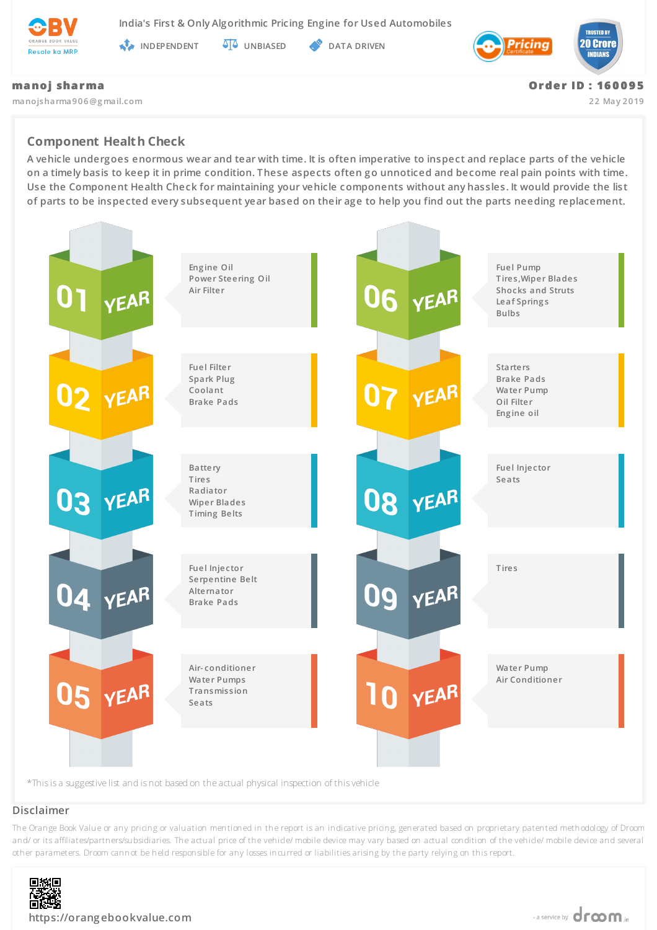

**India's First & Only Algorithmic Pricing Engine for Used Automobiles**

**INDEPENDENT AT UNBIASED PATA DRIVEN** 



### **ma no j sha r ma**

**manojsharma906@g mail.com**

**Or de r ID : 16 0 0 9 5**

**22 May 2019**

# **Component Health Check**

**A vehicle undergoes enormous wear and tear with time. It is often imperative to inspect and replace parts of the vehicle on a timely basis to keep it in prime condition. These aspects often go unnoticed and become real pain points with time. Use the Component Health Check for maintaining your vehicle components without any hassles. It would provide the list of parts to be inspected every subsequent year based on their age to help you find out the parts needing replacement.**



### **Disclaimer**

The Orange Book Value or any pricing or valuation mentioned in the report is an indicative pricing, generated based on proprietary patented methodology of Droom and/ or its affiliates/partners/subsidiaries. The actual price of the vehicle/ mobile device may vary based on actual condition of the vehicle/ mobile device and several other parameters. Droom cannot be held responsible for any losses incurred or liabilities arising by the party relying on this report.